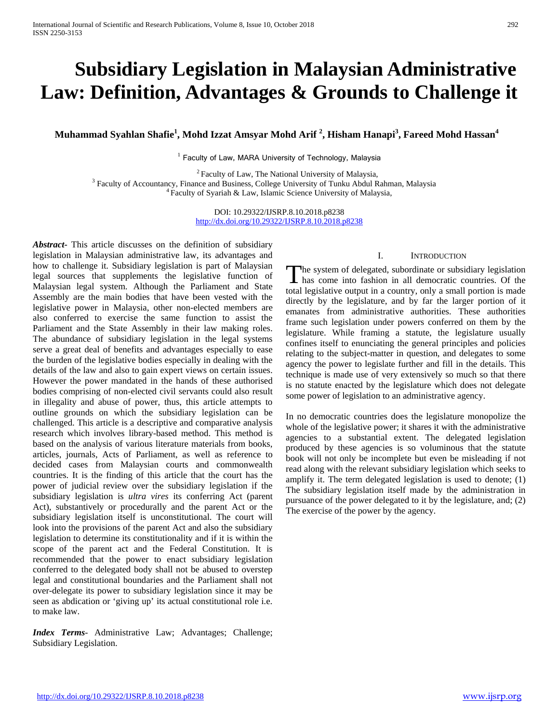# **Subsidiary Legislation in Malaysian Administrative Law: Definition, Advantages & Grounds to Challenge it**

**Muhammad Syahlan Shafie<sup>1</sup> , Mohd Izzat Amsyar Mohd Arif <sup>2</sup> , Hisham Hanapi<sup>3</sup> , Fareed Mohd Hassan<sup>4</sup>**

 $1$  Faculty of Law, MARA University of Technology, Malaysia

<sup>2</sup> Faculty of Law, The National University of Malaysia, <sup>3</sup> Faculty of Accountancy, Finance and Business, College University of Tunku Abdul Rahman, Malaysia  $4$  Faculty of Syariah & Law, Islamic Science University of Mal

DOI: 10.29322/IJSRP.8.10.2018.p8238 <http://dx.doi.org/10.29322/IJSRP.8.10.2018.p8238>

*Abstract***-** This article discusses on the definition of subsidiary legislation in Malaysian administrative law, its advantages and how to challenge it. Subsidiary legislation is part of Malaysian legal sources that supplements the legislative function of Malaysian legal system. Although the Parliament and State Assembly are the main bodies that have been vested with the legislative power in Malaysia, other non-elected members are also conferred to exercise the same function to assist the Parliament and the State Assembly in their law making roles. The abundance of subsidiary legislation in the legal systems serve a great deal of benefits and advantages especially to ease the burden of the legislative bodies especially in dealing with the details of the law and also to gain expert views on certain issues. However the power mandated in the hands of these authorised bodies comprising of non-elected civil servants could also result in illegality and abuse of power, thus, this article attempts to outline grounds on which the subsidiary legislation can be challenged. This article is a descriptive and comparative analysis research which involves library-based method. This method is based on the analysis of various literature materials from books, articles, journals, Acts of Parliament, as well as reference to decided cases from Malaysian courts and commonwealth countries. It is the finding of this article that the court has the power of judicial review over the subsidiary legislation if the subsidiary legislation is *ultra vires* its conferring Act (parent Act), substantively or procedurally and the parent Act or the subsidiary legislation itself is unconstitutional. The court will look into the provisions of the parent Act and also the subsidiary legislation to determine its constitutionality and if it is within the scope of the parent act and the Federal Constitution. It is recommended that the power to enact subsidiary legislation conferred to the delegated body shall not be abused to overstep legal and constitutional boundaries and the Parliament shall not over-delegate its power to subsidiary legislation since it may be seen as abdication or 'giving up' its actual constitutional role i.e. to make law.

*Index Terms*- Administrative Law; Advantages; Challenge; Subsidiary Legislation.

## I. INTRODUCTION

The system of delegated, subordinate or subsidiary legislation The system of delegated, subordinate or subsidiary legislation has come into fashion in all democratic countries. Of the total legislative output in a country, only a small portion is made directly by the legislature, and by far the larger portion of it emanates from administrative authorities. These authorities frame such legislation under powers conferred on them by the legislature. While framing a statute, the legislature usually confines itself to enunciating the general principles and policies relating to the subject-matter in question, and delegates to some agency the power to legislate further and fill in the details. This technique is made use of very extensively so much so that there is no statute enacted by the legislature which does not delegate some power of legislation to an administrative agency.

In no democratic countries does the legislature monopolize the whole of the legislative power; it shares it with the administrative agencies to a substantial extent. The delegated legislation produced by these agencies is so voluminous that the statute book will not only be incomplete but even be misleading if not read along with the relevant subsidiary legislation which seeks to amplify it. The term delegated legislation is used to denote; (1) The subsidiary legislation itself made by the administration in pursuance of the power delegated to it by the legislature, and; (2) The exercise of the power by the agency.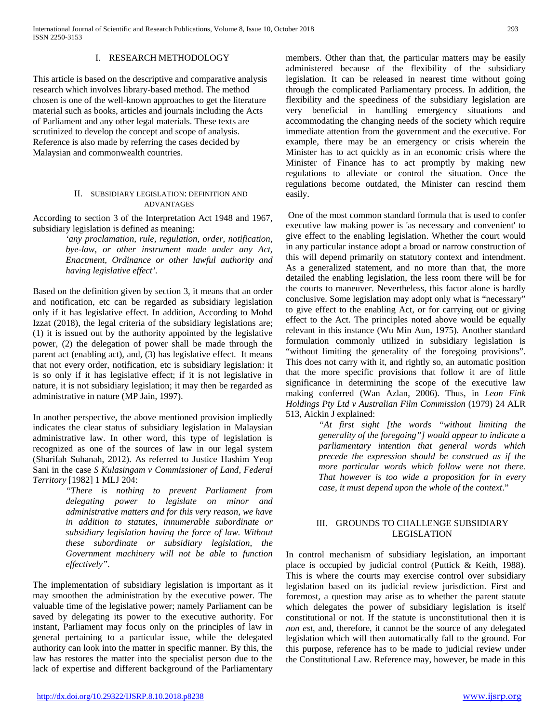### I. RESEARCH METHODOLOGY

This article is based on the descriptive and comparative analysis research which involves library-based method. The method chosen is one of the well-known approaches to get the literature material such as books, articles and journals including the Acts of Parliament and any other legal materials. These texts are scrutinized to develop the concept and scope of analysis. Reference is also made by referring the cases decided by Malaysian and commonwealth countries.

## II. SUBSIDIARY LEGISLATION: DEFINITION AND ADVANTAGES

According to section 3 of the Interpretation Act 1948 and 1967, subsidiary legislation is defined as meaning:

> *'any proclamation, rule, regulation, order, notification, bye-law, or other instrument made under any Act, Enactment, Ordinance or other lawful authority and having legislative effect'.*

Based on the definition given by section 3, it means that an order and notification, etc can be regarded as subsidiary legislation only if it has legislative effect. In addition, According to Mohd Izzat (2018), the legal criteria of the subsidiary legislations are; (1) it is issued out by the authority appointed by the legislative power, (2) the delegation of power shall be made through the parent act (enabling act), and, (3) has legislative effect. It means that not every order, notification, etc is subsidiary legislation: it is so only if it has legislative effect; if it is not legislative in nature, it is not subsidiary legislation; it may then be regarded as administrative in nature (MP Jain, 1997).

In another perspective, the above mentioned provision impliedly indicates the clear status of subsidiary legislation in Malaysian administrative law. In other word, this type of legislation is recognized as one of the sources of law in our legal system (Sharifah Suhanah, 2012). As referred to Justice Hashim Yeop Sani in the case *S Kulasingam v Commissioner of Land, Federal Territory* [1982] 1 MLJ 204:

*"There is nothing to prevent Parliament from delegating power to legislate on minor and administrative matters and for this very reason, we have in addition to statutes, innumerable subordinate or subsidiary legislation having the force of law. Without these subordinate or subsidiary legislation, the Government machinery will not be able to function effectively".*

The implementation of subsidiary legislation is important as it may smoothen the administration by the executive power. The valuable time of the legislative power; namely Parliament can be saved by delegating its power to the executive authority. For instant, Parliament may focus only on the principles of law in general pertaining to a particular issue, while the delegated authority can look into the matter in specific manner. By this, the law has restores the matter into the specialist person due to the lack of expertise and different background of the Parliamentary members. Other than that, the particular matters may be easily administered because of the flexibility of the subsidiary legislation. It can be released in nearest time without going through the complicated Parliamentary process. In addition, the flexibility and the speediness of the subsidiary legislation are very beneficial in handling emergency situations and accommodating the changing needs of the society which require immediate attention from the government and the executive. For example, there may be an emergency or crisis wherein the Minister has to act quickly as in an economic crisis where the Minister of Finance has to act promptly by making new regulations to alleviate or control the situation. Once the regulations become outdated, the Minister can rescind them easily.

One of the most common standard formula that is used to confer executive law making power is 'as necessary and convenient' to give effect to the enabling legislation. Whether the court would in any particular instance adopt a broad or narrow construction of this will depend primarily on statutory context and intendment. As a generalized statement, and no more than that, the more detailed the enabling legislation, the less room there will be for the courts to maneuver. Nevertheless, this factor alone is hardly conclusive. Some legislation may adopt only what is "necessary" to give effect to the enabling Act, or for carrying out or giving effect to the Act. The principles noted above would be equally relevant in this instance (Wu Min Aun, 1975). Another standard formulation commonly utilized in subsidiary legislation is "without limiting the generality of the foregoing provisions". This does not carry with it, and rightly so, an automatic position that the more specific provisions that follow it are of little significance in determining the scope of the executive law making conferred (Wan Azlan, 2006). Thus, in *Leon Fink Holdings Pty Ltd v Australian Film Commission* (1979) 24 ALR 513, Aickin J explained:

> *"At first sight [the words "without limiting the generality of the foregoing"] would appear to indicate a parliamentary intention that general words which precede the expression should be construed as if the more particular words which follow were not there. That however is too wide a proposition for in every case, it must depend upon the whole of the context*."

### III. GROUNDS TO CHALLENGE SUBSIDIARY LEGISLATION

In control mechanism of subsidiary legislation, an important place is occupied by judicial control (Puttick & Keith, 1988). This is where the courts may exercise control over subsidiary legislation based on its judicial review jurisdiction. First and foremost, a question may arise as to whether the parent statute which delegates the power of subsidiary legislation is itself constitutional or not. If the statute is unconstitutional then it is *non est*, and, therefore, it cannot be the source of any delegated legislation which will then automatically fall to the ground. For this purpose, reference has to be made to judicial review under the Constitutional Law. Reference may, however, be made in this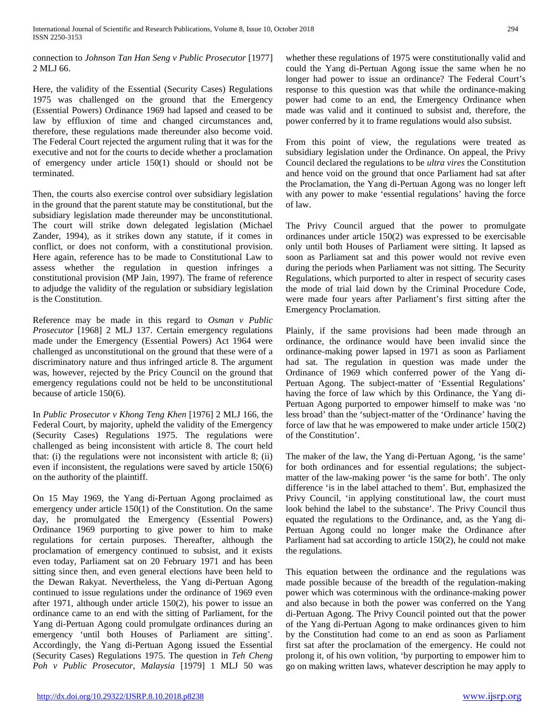connection to *Johnson Tan Han Seng v Public Prosecutor* [1977] 2 MLJ 66.

Here, the validity of the Essential (Security Cases) Regulations 1975 was challenged on the ground that the Emergency (Essential Powers) Ordinance 1969 had lapsed and ceased to be law by effluxion of time and changed circumstances and, therefore, these regulations made thereunder also become void. The Federal Court rejected the argument ruling that it was for the executive and not for the courts to decide whether a proclamation of emergency under article 150(1) should or should not be terminated.

Then, the courts also exercise control over subsidiary legislation in the ground that the parent statute may be constitutional, but the subsidiary legislation made thereunder may be unconstitutional. The court will strike down delegated legislation (Michael Zander, 1994), as it strikes down any statute, if it comes in conflict, or does not conform, with a constitutional provision. Here again, reference has to be made to Constitutional Law to assess whether the regulation in question infringes a constitutional provision (MP Jain, 1997). The frame of reference to adjudge the validity of the regulation or subsidiary legislation is the Constitution.

Reference may be made in this regard to *Osman v Public Prosecutor* [1968] 2 MLJ 137. Certain emergency regulations made under the Emergency (Essential Powers) Act 1964 were challenged as unconstitutional on the ground that these were of a discriminatory nature and thus infringed article 8. The argument was, however, rejected by the Pricy Council on the ground that emergency regulations could not be held to be unconstitutional because of article 150(6).

In *Public Prosecutor v Khong Teng Khen* [1976] 2 MLJ 166, the Federal Court, by majority, upheld the validity of the Emergency (Security Cases) Regulations 1975. The regulations were challenged as being inconsistent with article 8. The court held that: (i) the regulations were not inconsistent with article 8; (ii) even if inconsistent, the regulations were saved by article 150(6) on the authority of the plaintiff.

On 15 May 1969, the Yang di-Pertuan Agong proclaimed as emergency under article 150(1) of the Constitution. On the same day, he promulgated the Emergency (Essential Powers) Ordinance 1969 purporting to give power to him to make regulations for certain purposes. Thereafter, although the proclamation of emergency continued to subsist, and it exists even today, Parliament sat on 20 February 1971 and has been sitting since then, and even general elections have been held to the Dewan Rakyat. Nevertheless, the Yang di-Pertuan Agong continued to issue regulations under the ordinance of 1969 even after 1971, although under article 150(2), his power to issue an ordinance came to an end with the sitting of Parliament, for the Yang di-Pertuan Agong could promulgate ordinances during an emergency 'until both Houses of Parliament are sitting'. Accordingly, the Yang di-Pertuan Agong issued the Essential (Security Cases) Regulations 1975. The question in *Teh Cheng Poh v Public Prosecutor, Malaysia* [1979] 1 MLJ 50 was whether these regulations of 1975 were constitutionally valid and could the Yang di-Pertuan Agong issue the same when he no longer had power to issue an ordinance? The Federal Court's response to this question was that while the ordinance-making power had come to an end, the Emergency Ordinance when made was valid and it continued to subsist and, therefore, the power conferred by it to frame regulations would also subsist.

From this point of view, the regulations were treated as subsidiary legislation under the Ordinance. On appeal, the Privy Council declared the regulations to be *ultra vires* the Constitution and hence void on the ground that once Parliament had sat after the Proclamation, the Yang di-Pertuan Agong was no longer left with any power to make 'essential regulations' having the force of law.

The Privy Council argued that the power to promulgate ordinances under article 150(2) was expressed to be exercisable only until both Houses of Parliament were sitting. It lapsed as soon as Parliament sat and this power would not revive even during the periods when Parliament was not sitting. The Security Regulations, which purported to alter in respect of security cases the mode of trial laid down by the Criminal Procedure Code, were made four years after Parliament's first sitting after the Emergency Proclamation.

Plainly, if the same provisions had been made through an ordinance, the ordinance would have been invalid since the ordinance-making power lapsed in 1971 as soon as Parliament had sat. The regulation in question was made under the Ordinance of 1969 which conferred power of the Yang di-Pertuan Agong. The subject-matter of 'Essential Regulations' having the force of law which by this Ordinance, the Yang di-Pertuan Agong purported to empower himself to make was 'no less broad' than the 'subject-matter of the 'Ordinance' having the force of law that he was empowered to make under article 150(2) of the Constitution'.

The maker of the law, the Yang di-Pertuan Agong, 'is the same' for both ordinances and for essential regulations; the subjectmatter of the law-making power 'is the same for both'. The only difference 'is in the label attached to them'. But, emphasized the Privy Council, 'in applying constitutional law, the court must look behind the label to the substance'. The Privy Council thus equated the regulations to the Ordinance, and, as the Yang di-Pertuan Agong could no longer make the Ordinance after Parliament had sat according to article 150(2), he could not make the regulations.

This equation between the ordinance and the regulations was made possible because of the breadth of the regulation-making power which was coterminous with the ordinance-making power and also because in both the power was conferred on the Yang di-Pertuan Agong. The Privy Council pointed out that the power of the Yang di-Pertuan Agong to make ordinances given to him by the Constitution had come to an end as soon as Parliament first sat after the proclamation of the emergency. He could not prolong it, of his own volition, 'by purporting to empower him to go on making written laws, whatever description he may apply to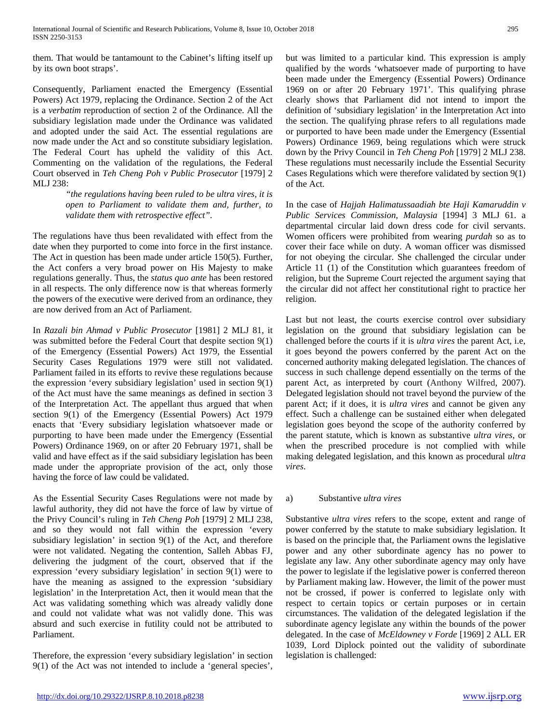them. That would be tantamount to the Cabinet's lifting itself up by its own boot straps'.

Consequently, Parliament enacted the Emergency (Essential Powers) Act 1979, replacing the Ordinance. Section 2 of the Act is a *verbatim* reproduction of section 2 of the Ordinance. All the subsidiary legislation made under the Ordinance was validated and adopted under the said Act. The essential regulations are now made under the Act and so constitute subsidiary legislation. The Federal Court has upheld the validity of this Act. Commenting on the validation of the regulations, the Federal Court observed in *Teh Cheng Poh v Public Prosecutor* [1979] 2 MLJ 238:

> *"the regulations having been ruled to be ultra vires, it is open to Parliament to validate them and, further, to validate them with retrospective effect".*

The regulations have thus been revalidated with effect from the date when they purported to come into force in the first instance. The Act in question has been made under article 150(5). Further, the Act confers a very broad power on His Majesty to make regulations generally. Thus, the *status quo ante* has been restored in all respects. The only difference now is that whereas formerly the powers of the executive were derived from an ordinance, they are now derived from an Act of Parliament.

In *Razali bin Ahmad v Public Prosecutor* [1981] 2 MLJ 81, it was submitted before the Federal Court that despite section 9(1) of the Emergency (Essential Powers) Act 1979, the Essential Security Cases Regulations 1979 were still not validated. Parliament failed in its efforts to revive these regulations because the expression 'every subsidiary legislation' used in section 9(1) of the Act must have the same meanings as defined in section 3 of the Interpretation Act. The appellant thus argued that when section 9(1) of the Emergency (Essential Powers) Act 1979 enacts that 'Every subsidiary legislation whatsoever made or purporting to have been made under the Emergency (Essential Powers) Ordinance 1969, on or after 20 February 1971, shall be valid and have effect as if the said subsidiary legislation has been made under the appropriate provision of the act, only those having the force of law could be validated.

As the Essential Security Cases Regulations were not made by lawful authority, they did not have the force of law by virtue of the Privy Council's ruling in *Teh Cheng Poh* [1979] 2 MLJ 238, and so they would not fall within the expression 'every subsidiary legislation' in section 9(1) of the Act, and therefore were not validated. Negating the contention, Salleh Abbas FJ, delivering the judgment of the court, observed that if the expression 'every subsidiary legislation' in section 9(1) were to have the meaning as assigned to the expression 'subsidiary legislation' in the Interpretation Act, then it would mean that the Act was validating something which was already validly done and could not validate what was not validly done. This was absurd and such exercise in futility could not be attributed to Parliament.

Therefore, the expression 'every subsidiary legislation' in section 9(1) of the Act was not intended to include a 'general species',

but was limited to a particular kind. This expression is amply qualified by the words 'whatsoever made of purporting to have been made under the Emergency (Essential Powers) Ordinance 1969 on or after 20 February 1971'. This qualifying phrase clearly shows that Parliament did not intend to import the definition of 'subsidiary legislation' in the Interpretation Act into the section. The qualifying phrase refers to all regulations made or purported to have been made under the Emergency (Essential Powers) Ordinance 1969, being regulations which were struck down by the Privy Council in *Teh Cheng Poh* [1979] 2 MLJ 238. These regulations must necessarily include the Essential Security Cases Regulations which were therefore validated by section 9(1) of the Act.

In the case of *Hajjah Halimatussaadiah bte Haji Kamaruddin v Public Services Commission, Malaysia* [1994] 3 MLJ 61. a departmental circular laid down dress code for civil servants. Women officers were prohibited from wearing *purdah* so as to cover their face while on duty. A woman officer was dismissed for not obeying the circular. She challenged the circular under Article 11 (1) of the Constitution which guarantees freedom of religion, but the Supreme Court rejected the argument saying that the circular did not affect her constitutional right to practice her religion.

Last but not least, the courts exercise control over subsidiary legislation on the ground that subsidiary legislation can be challenged before the courts if it is *ultra vires* the parent Act, i.e, it goes beyond the powers conferred by the parent Act on the concerned authority making delegated legislation. The chances of success in such challenge depend essentially on the terms of the parent Act, as interpreted by court (Anthony Wilfred, 2007). Delegated legislation should not travel beyond the purview of the parent Act; if it does, it is *ultra vires* and cannot be given any effect. Such a challenge can be sustained either when delegated legislation goes beyond the scope of the authority conferred by the parent statute, which is known as substantive *ultra vires*, or when the prescribed procedure is not complied with while making delegated legislation, and this known as procedural *ultra vires*.

### a) Substantive *ultra vires*

Substantive *ultra vires* refers to the scope, extent and range of power conferred by the statute to make subsidiary legislation. It is based on the principle that, the Parliament owns the legislative power and any other subordinate agency has no power to legislate any law. Any other subordinate agency may only have the power to legislate if the legislative power is conferred thereon by Parliament making law. However, the limit of the power must not be crossed, if power is conferred to legislate only with respect to certain topics or certain purposes or in certain circumstances. The validation of the delegated legislation if the subordinate agency legislate any within the bounds of the power delegated. In the case of *McEldowney v Forde* [1969] 2 ALL ER 1039, Lord Diplock pointed out the validity of subordinate legislation is challenged: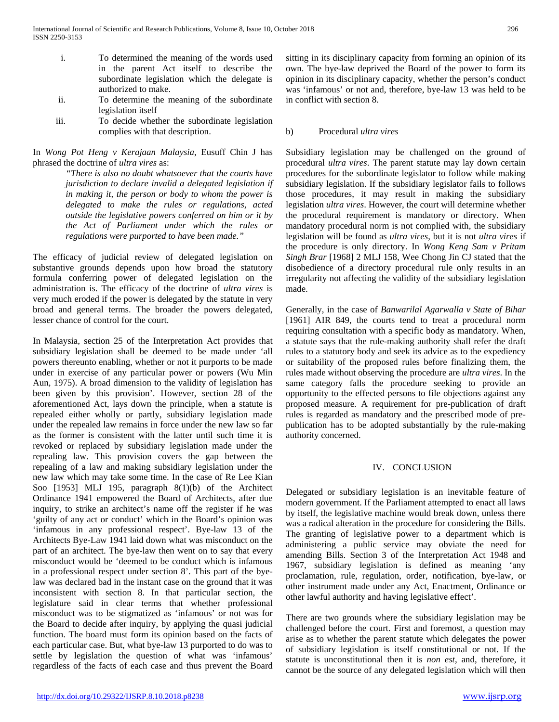- i. To determined the meaning of the words used in the parent Act itself to describe the subordinate legislation which the delegate is authorized to make.
- ii. To determine the meaning of the subordinate legislation itself
- iii. To decide whether the subordinate legislation complies with that description.

In *Wong Pot Heng v Kerajaan Malaysia*, Eusuff Chin J has phrased the doctrine of *ultra vires* as:

> *"There is also no doubt whatsoever that the courts have jurisdiction to declare invalid a delegated legislation if in making it, the person or body to whom the power is delegated to make the rules or regulations, acted outside the legislative powers conferred on him or it by the Act of Parliament under which the rules or regulations were purported to have been made."*

The efficacy of judicial review of delegated legislation on substantive grounds depends upon how broad the statutory formula conferring power of delegated legislation on the administration is. The efficacy of the doctrine of *ultra vires* is very much eroded if the power is delegated by the statute in very broad and general terms. The broader the powers delegated, lesser chance of control for the court.

In Malaysia, section 25 of the Interpretation Act provides that subsidiary legislation shall be deemed to be made under 'all powers thereunto enabling, whether or not it purports to be made under in exercise of any particular power or powers (Wu Min Aun, 1975). A broad dimension to the validity of legislation has been given by this provision'. However, section 28 of the aforementioned Act, lays down the principle, when a statute is repealed either wholly or partly, subsidiary legislation made under the repealed law remains in force under the new law so far as the former is consistent with the latter until such time it is revoked or replaced by subsidiary legislation made under the repealing law. This provision covers the gap between the repealing of a law and making subsidiary legislation under the new law which may take some time. In the case of Re Lee Kian Soo [1953] MLJ 195, paragraph 8(1)(b) of the Architect Ordinance 1941 empowered the Board of Architects, after due inquiry, to strike an architect's name off the register if he was 'guilty of any act or conduct' which in the Board's opinion was 'infamous in any professional respect'. Bye-law 13 of the Architects Bye-Law 1941 laid down what was misconduct on the part of an architect. The bye-law then went on to say that every misconduct would be 'deemed to be conduct which is infamous in a professional respect under section 8'. This part of the byelaw was declared bad in the instant case on the ground that it was inconsistent with section 8. In that particular section, the legislature said in clear terms that whether professional misconduct was to be stigmatized as 'infamous' or not was for the Board to decide after inquiry, by applying the quasi judicial function. The board must form its opinion based on the facts of each particular case. But, what bye-law 13 purported to do was to settle by legislation the question of what was 'infamous' regardless of the facts of each case and thus prevent the Board

sitting in its disciplinary capacity from forming an opinion of its own. The bye-law deprived the Board of the power to form its opinion in its disciplinary capacity, whether the person's conduct was 'infamous' or not and, therefore, bye-law 13 was held to be in conflict with section 8.

### b) Procedural *ultra vires*

Subsidiary legislation may be challenged on the ground of procedural *ultra vires*. The parent statute may lay down certain procedures for the subordinate legislator to follow while making subsidiary legislation. If the subsidiary legislator fails to follows those procedures, it may result in making the subsidiary legislation *ultra vires*. However, the court will determine whether the procedural requirement is mandatory or directory. When mandatory procedural norm is not complied with, the subsidiary legislation will be found as *ultra vires*, but it is not *ultra vires* if the procedure is only directory. In *Wong Keng Sam v Pritam Singh Brar* [1968] 2 MLJ 158, Wee Chong Jin CJ stated that the disobedience of a directory procedural rule only results in an irregularity not affecting the validity of the subsidiary legislation made.

Generally, in the case of *Banwarilal Agarwalla v State of Bihar* [1961] AIR 849, the courts tend to treat a procedural norm requiring consultation with a specific body as mandatory. When, a statute says that the rule-making authority shall refer the draft rules to a statutory body and seek its advice as to the expediency or suitability of the proposed rules before finalizing them, the rules made without observing the procedure are *ultra vires*. In the same category falls the procedure seeking to provide an opportunity to the effected persons to file objections against any proposed measure. A requirement for pre-publication of draft rules is regarded as mandatory and the prescribed mode of prepublication has to be adopted substantially by the rule-making authority concerned.

### IV. CONCLUSION

Delegated or subsidiary legislation is an inevitable feature of modern government. If the Parliament attempted to enact all laws by itself, the legislative machine would break down, unless there was a radical alteration in the procedure for considering the Bills. The granting of legislative power to a department which is administering a public service may obviate the need for amending Bills. Section 3 of the Interpretation Act 1948 and 1967, subsidiary legislation is defined as meaning 'any proclamation, rule, regulation, order, notification, bye-law, or other instrument made under any Act, Enactment, Ordinance or other lawful authority and having legislative effect'.

There are two grounds where the subsidiary legislation may be challenged before the court. First and foremost, a question may arise as to whether the parent statute which delegates the power of subsidiary legislation is itself constitutional or not. If the statute is unconstitutional then it is *non est*, and, therefore, it cannot be the source of any delegated legislation which will then